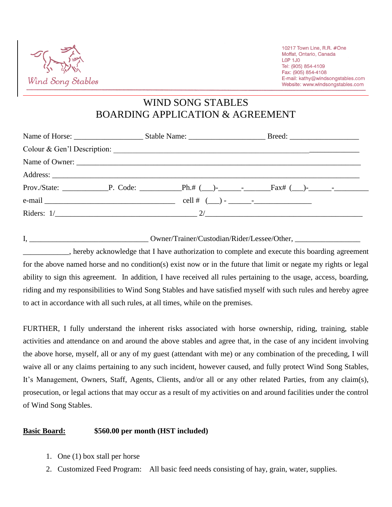

WIND SONG STABLES BOARDING APPLICATION & AGREEMENT

| Riders: $1/\_$ |  |  |  |  |
|----------------|--|--|--|--|

I, \_\_\_\_\_\_\_\_\_\_\_\_\_\_\_\_\_\_\_\_\_\_\_\_\_\_\_\_\_\_\_ Owner/Trainer/Custodian/Rider/Lessee/Other, \_\_\_\_\_\_\_\_\_\_\_\_\_\_\_\_\_ \_\_\_\_\_\_\_\_\_\_\_\_, hereby acknowledge that I have authorization to complete and execute this boarding agreement for the above named horse and no condition(s) exist now or in the future that limit or negate my rights or legal ability to sign this agreement. In addition, I have received all rules pertaining to the usage, access, boarding, riding and my responsibilities to Wind Song Stables and have satisfied myself with such rules and hereby agree to act in accordance with all such rules, at all times, while on the premises.

FURTHER, I fully understand the inherent risks associated with horse ownership, riding, training, stable activities and attendance on and around the above stables and agree that, in the case of any incident involving the above horse, myself, all or any of my guest (attendant with me) or any combination of the preceding, I will waive all or any claims pertaining to any such incident, however caused, and fully protect Wind Song Stables, It's Management, Owners, Staff, Agents, Clients, and/or all or any other related Parties, from any claim(s), prosecution, or legal actions that may occur as a result of my activities on and around facilities under the control of Wind Song Stables.

## **Basic Board: \$560.00 per month (HST included)**

- 1. One (1) box stall per horse
- 2. Customized Feed Program: All basic feed needs consisting of hay, grain, water, supplies.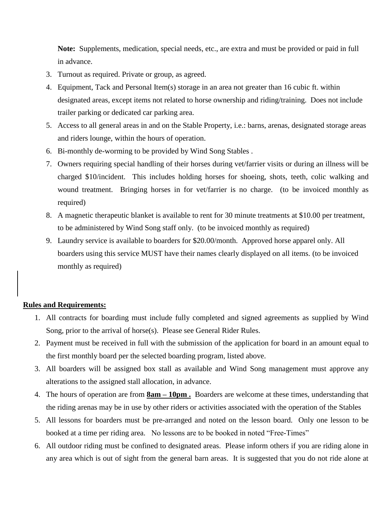**Note:** Supplements, medication, special needs, etc., are extra and must be provided or paid in full in advance.

- 3. Turnout as required. Private or group, as agreed.
- 4. Equipment, Tack and Personal Item(s) storage in an area not greater than 16 cubic ft. within designated areas, except items not related to horse ownership and riding/training. Does not include trailer parking or dedicated car parking area.
- 5. Access to all general areas in and on the Stable Property, i.e.: barns, arenas, designated storage areas and riders lounge, within the hours of operation.
- 6. Bi-monthly de-worming to be provided by Wind Song Stables .
- 7. Owners requiring special handling of their horses during vet/farrier visits or during an illness will be charged \$10/incident. This includes holding horses for shoeing, shots, teeth, colic walking and wound treatment. Bringing horses in for vet/farrier is no charge. (to be invoiced monthly as required)
- 8. A magnetic therapeutic blanket is available to rent for 30 minute treatments at \$10.00 per treatment, to be administered by Wind Song staff only. (to be invoiced monthly as required)
- 9. Laundry service is available to boarders for \$20.00/month. Approved horse apparel only. All boarders using this service MUST have their names clearly displayed on all items. (to be invoiced monthly as required)

## **Rules and Requirements:**

- 1. All contracts for boarding must include fully completed and signed agreements as supplied by Wind Song, prior to the arrival of horse(s). Please see General Rider Rules.
- 2. Payment must be received in full with the submission of the application for board in an amount equal to the first monthly board per the selected boarding program, listed above.
- 3. All boarders will be assigned box stall as available and Wind Song management must approve any alterations to the assigned stall allocation, in advance.
- 4. The hours of operation are from **8am – 10pm .** Boarders are welcome at these times, understanding that the riding arenas may be in use by other riders or activities associated with the operation of the Stables
- 5. All lessons for boarders must be pre-arranged and noted on the lesson board. Only one lesson to be booked at a time per riding area. No lessons are to be booked in noted "Free-Times"
- 6. All outdoor riding must be confined to designated areas. Please inform others if you are riding alone in any area which is out of sight from the general barn areas. It is suggested that you do not ride alone at